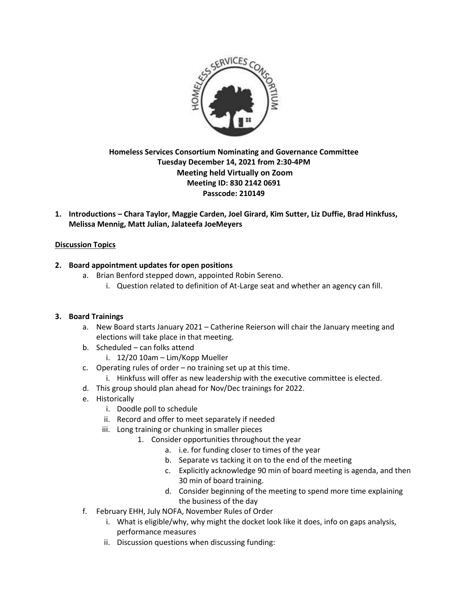

# **Homeless Services Consortium Nominating and Governance Committee Tuesday December 14, 2021 from 2:30-4PM Meeting held Virtually on Zoom Meeting ID: 830 2142 0691 Passcode: 210149**

**1. Introductions – Chara Taylor, Maggie Carden, Joel Girard, Kim Sutter, Liz Duffie, Brad Hinkfuss, Melissa Mennig, Matt Julian, Jalateefa JoeMeyers**

## **Discussion Topics**

## **2. Board appointment updates for open positions**

- a. Brian Benford stepped down, appointed Robin Sereno.
	- i. Question related to definition of At-Large seat and whether an agency can fill.

## **3. Board Trainings**

- a. New Board starts January 2021 Catherine Reierson will chair the January meeting and elections will take place in that meeting.
- b. Scheduled can folks attend
	- i. 12/20 10am Lim/Kopp Mueller
- c. Operating rules of order no training set up at this time.
	- i. Hinkfuss will offer as new leadership with the executive committee is elected.
- d. This group should plan ahead for Nov/Dec trainings for 2022.
- e. Historically
	- i. Doodle poll to schedule
	- ii. Record and offer to meet separately if needed
	- iii. Long training or chunking in smaller pieces
		- 1. Consider opportunities throughout the year
			- a. i.e. for funding closer to times of the year
			- b. Separate vs tacking it on to the end of the meeting
			- c. Explicitly acknowledge 90 min of board meeting is agenda, and then 30 min of board training.
			- d. Consider beginning of the meeting to spend more time explaining the business of the day
- f. February EHH, July NOFA, November Rules of Order
	- i. What is eligible/why, why might the docket look like it does, info on gaps analysis, performance measures
	- ii. Discussion questions when discussing funding: